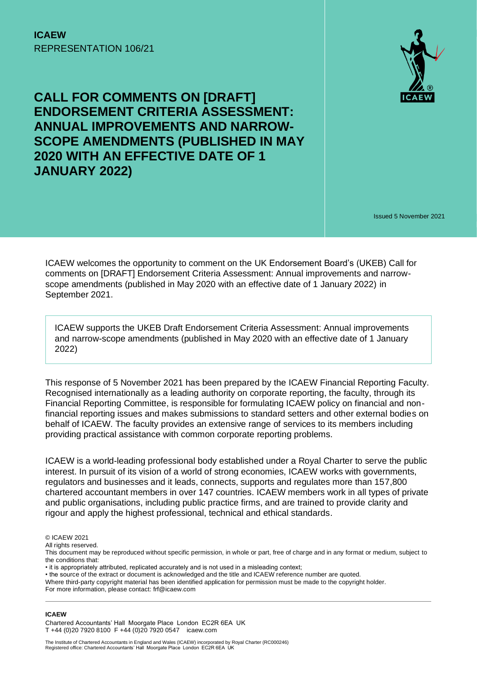

Issued 5 November 2021

ICAEW welcomes the opportunity to comment on the UK Endorsement Board's (UKEB) Call for comments on [DRAFT] Endorsement Criteria Assessment: Annual improvements and narrowscope amendments (published in May 2020 with an effective date of 1 January 2022) in September 2021.

ICAEW supports the UKEB Draft Endorsement Criteria Assessment: Annual improvements and narrow-scope amendments (published in May 2020 with an effective date of 1 January 2022)

This response of 5 November 2021 has been prepared by the ICAEW Financial Reporting Faculty. Recognised internationally as a leading authority on corporate reporting, the faculty, through its Financial Reporting Committee, is responsible for formulating ICAEW policy on financial and nonfinancial reporting issues and makes submissions to standard setters and other external bodies on behalf of ICAEW. The faculty provides an extensive range of services to its members including providing practical assistance with common corporate reporting problems.

ICAEW is a world-leading professional body established under a Royal Charter to serve the public interest. In pursuit of its vision of a world of strong economies, ICAEW works with governments, regulators and businesses and it leads, connects, supports and regulates more than 157,800 chartered accountant members in over 147 countries. ICAEW members work in all types of private and public organisations, including public practice firms, and are trained to provide clarity and rigour and apply the highest professional, technical and ethical standards.

All rights reserved.

#### **ICAEW**

Chartered Accountants' Hall Moorgate Place London EC2R 6EA UK T +44 (0)20 7920 8100 F +44 (0)20 7920 0547 icaew.com

<sup>©</sup> ICAEW 2021

This document may be reproduced without specific permission, in whole or part, free of charge and in any format or medium, subject to the conditions that:

<sup>•</sup> it is appropriately attributed, replicated accurately and is not used in a misleading context;

<sup>•</sup> the source of the extract or document is acknowledged and the title and ICAEW reference number are quoted.

Where third-party copyright material has been identified application for permission must be made to the copyright holder.

For more information, please contact: frf@icaew.com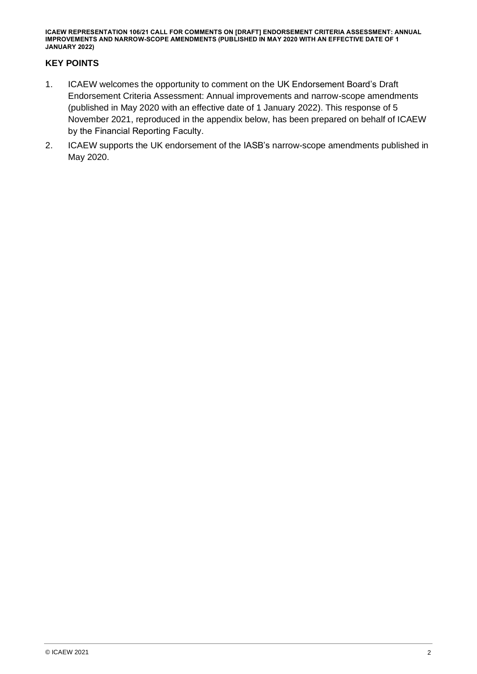#### **KEY POINTS**

- 1. ICAEW welcomes the opportunity to comment on the UK Endorsement Board's Draft Endorsement Criteria Assessment: Annual improvements and narrow-scope amendments (published in May 2020 with an effective date of 1 January 2022). This response of 5 November 2021, reproduced in the appendix below, has been prepared on behalf of ICAEW by the Financial Reporting Faculty.
- 2. ICAEW supports the UK endorsement of the IASB's narrow-scope amendments published in May 2020.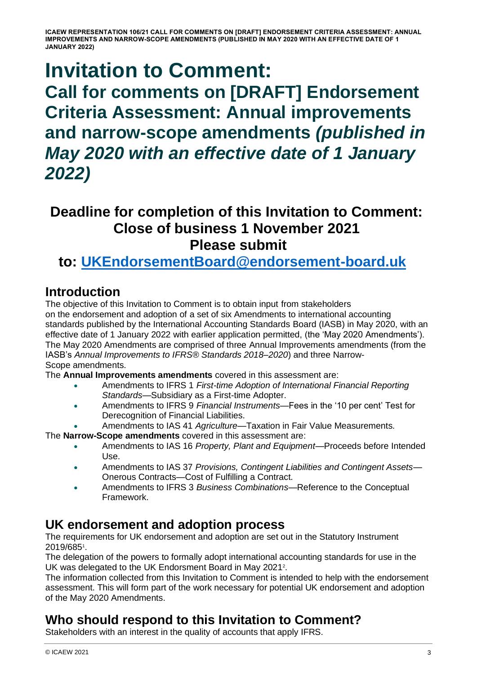# **Invitation to Comment:**

**Call for comments on [DRAFT] Endorsement Criteria Assessment: Annual improvements and narrow-scope amendments** *(published in May 2020 with an effective date of 1 January 2022)*

### **Deadline for completion of this Invitation to Comment: Close of business 1 November 2021 Please submit**

**to: [UKEndorsementBoard@endorsement-board.uk](mailto:UKEndorsementBoard@endorsement-board.uk)**

### **Introduction**

The objective of this Invitation to Comment is to obtain input from stakeholders on the endorsement and adoption of a set of six Amendments to international accounting standards published by the International Accounting Standards Board (IASB) in May 2020, with an effective date of 1 January 2022 with earlier application permitted, (the 'May 2020 Amendments'). The May 2020 Amendments are comprised of three Annual Improvements amendments (from the IASB's *Annual Improvements to IFRS® Standards 2018–2020*) and three Narrow-Scope amendments.

The **Annual Improvements amendments** covered in this assessment are:

- Amendments to IFRS 1 *First-time Adoption of International Financial Reporting Standards*—Subsidiary as a First-time Adopter.
- Amendments to IFRS 9 *Financial Instruments*—Fees in the '10 per cent' Test for Derecognition of Financial Liabilities.
	- Amendments to IAS 41 *Agriculture*—Taxation in Fair Value Measurements.

The **Narrow-Scope amendments** covered in this assessment are:

- Amendments to IAS 16 *Property, Plant and Equipment*—Proceeds before Intended Use.
- Amendments to IAS 37 *Provisions, Contingent Liabilities and Contingent Assets* Onerous Contracts—Cost of Fulfilling a Contract.
- Amendments to IFRS 3 *Business Combinations*—Reference to the Conceptual Framework.

#### **UK endorsement and adoption process**

The requirements for UK endorsement and adoption are set out in the Statutory Instrument 2019/685<sup>1</sup> .

The delegation of the powers to formally adopt international accounting standards for use in the UK was delegated to the UK Endorsment Board in May 2021<sup>2</sup>.

The information collected from this Invitation to Comment is intended to help with the endorsement assessment. This will form part of the work necessary for potential UK endorsement and adoption of the May 2020 Amendments.

### **Who should respond to this Invitation to Comment?**

Stakeholders with an interest in the quality of accounts that apply IFRS.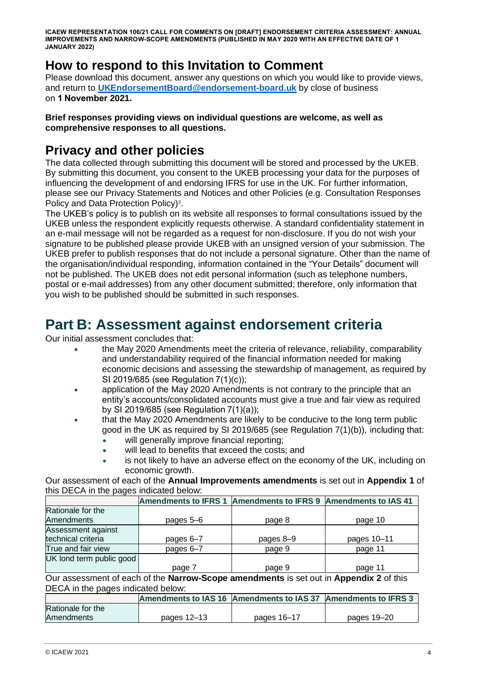### **How to respond to this Invitation to Comment**

Please download this document, answer any questions on which you would like to provide views, and return to **[UKEndorsementBoard@endorsement-board.uk](mailto:UKEndorsementBoard@endorsement-board.uk)** by close of business on **1 November 2021.**

#### **Brief responses providing views on individual questions are welcome, as well as comprehensive responses to all questions.**

### **Privacy and other policies**

The data collected through submitting this document will be stored and processed by the UKEB. By submitting this document, you consent to the UKEB processing your data for the purposes of influencing the development of and endorsing IFRS for use in the UK. For further information, please see our Privacy Statements and Notices and other Policies (e.g. Consultation Responses Policy and Data Protection Policy)<sup>3</sup>.

The UKEB's policy is to publish on its website all responses to formal consultations issued by the UKEB unless the respondent explicitly requests otherwise. A standard confidentiality statement in an e-mail message will not be regarded as a request for non-disclosure. If you do not wish your signature to be published please provide UKEB with an unsigned version of your submission. The UKEB prefer to publish responses that do not include a personal signature. Other than the name of the organisation/individual responding, information contained in the "Your Details" document will not be published. The UKEB does not edit personal information (such as telephone numbers, postal or e-mail addresses) from any other document submitted; therefore, only information that you wish to be published should be submitted in such responses.

### **Part B: Assessment against endorsement criteria**

Our initial assessment concludes that:

- the May 2020 Amendments meet the criteria of relevance, reliability, comparability and understandability required of the financial information needed for making economic decisions and assessing the stewardship of management, as required by SI 2019/685 (see Regulation 7(1)(c));
- application of the May 2020 Amendments is not contrary to the principle that an entity's accounts/consolidated accounts must give a true and fair view as required by SI 2019/685 (see Regulation 7(1)(a));
- that the May 2020 Amendments are likely to be conducive to the long term public good in the UK as required by SI 2019/685 (see Regulation 7(1)(b)), including that:
	- will generally improve financial reporting:
	- will lead to benefits that exceed the costs; and
	- is not likely to have an adverse effect on the economy of the UK, including on economic growth.

Our assessment of each of the **Annual Improvements amendments** is set out in **Appendix 1** of this DECA in the pages indicated below:

|                                                                                      |           | Amendments to IFRS 1 Amendments to IFRS 9 Amendments to IAS 41 |             |
|--------------------------------------------------------------------------------------|-----------|----------------------------------------------------------------|-------------|
| Rationale for the                                                                    |           |                                                                |             |
| <b>Amendments</b>                                                                    | pages 5–6 | page 8                                                         | page 10     |
| Assessment against                                                                   |           |                                                                |             |
| technical criteria                                                                   | pages 6-7 | pages 8-9                                                      | pages 10-11 |
| True and fair view                                                                   | pages 6-7 | page 9                                                         | page 11     |
| UK lond term public good                                                             |           |                                                                |             |
|                                                                                      | page 7    | page 9                                                         | page 11     |
| Our accorder of each of the Narrow Reaso amondmante is set out in Annandix 2 of this |           |                                                                |             |

Our assessment of each of the **Narrow-Scope amendments** is set out in **Appendix 2** of this DECA in the pages indicated below:

|                   |             | Amendments to IAS 16 Amendments to IAS 37 Amendments to IFRS 3 |             |
|-------------------|-------------|----------------------------------------------------------------|-------------|
| Rationale for the |             |                                                                |             |
| Amendments        | pages 12–13 | pages 16–17                                                    | pages 19–20 |